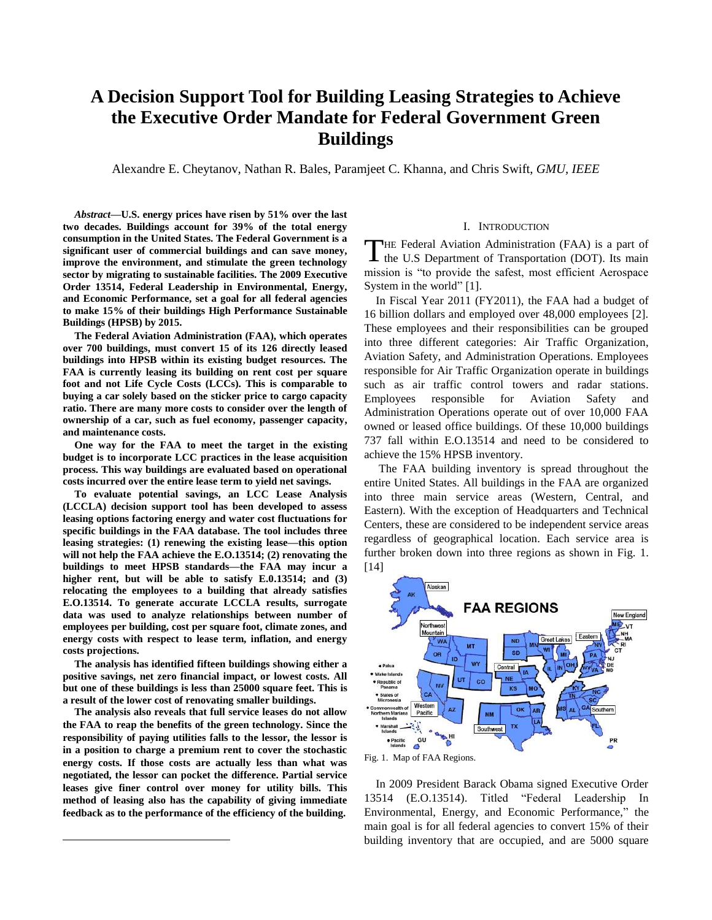# **A Decision Support Tool for Building Leasing Strategies to Achieve the Executive Order Mandate for Federal Government Green Buildings**

Alexandre E. Cheytanov, Nathan R. Bales, Paramjeet C. Khanna*,* and Chris Swift, *GMU, IEEE*

*Abstract***—U.S. energy prices have risen by 51% over the last two decades. Buildings account for 39% of the total energy consumption in the United States. The Federal Government is a significant user of commercial buildings and can save money, improve the environment, and stimulate the green technology sector by migrating to sustainable facilities. The 2009 Executive Order 13514, Federal Leadership in Environmental, Energy, and Economic Performance, set a goal for all federal agencies to make 15% of their buildings High Performance Sustainable Buildings (HPSB) by 2015.**

**The Federal Aviation Administration (FAA), which operates over 700 buildings, must convert 15 of its 126 directly leased buildings into HPSB within its existing budget resources. The FAA is currently leasing its building on rent cost per square foot and not Life Cycle Costs (LCCs). This is comparable to buying a car solely based on the sticker price to cargo capacity ratio. There are many more costs to consider over the length of ownership of a car, such as fuel economy, passenger capacity, and maintenance costs.**

**One way for the FAA to meet the target in the existing budget is to incorporate LCC practices in the lease acquisition process. This way buildings are evaluated based on operational costs incurred over the entire lease term to yield net savings.**

**To evaluate potential savings, an LCC Lease Analysis (LCCLA) decision support tool has been developed to assess leasing options factoring energy and water cost fluctuations for specific buildings in the FAA database. The tool includes three leasing strategies: (1) renewing the existing lease—this option will not help the FAA achieve the E.O.13514; (2) renovating the buildings to meet HPSB standards—the FAA may incur a higher rent, but will be able to satisfy E.0.13514; and (3) relocating the employees to a building that already satisfies E.O.13514. To generate accurate LCCLA results, surrogate data was used to analyze relationships between number of employees per building, cost per square foot, climate zones, and energy costs with respect to lease term, inflation, and energy costs projections.**

**The analysis has identified fifteen buildings showing either a positive savings, net zero financial impact, or lowest costs. All but one of these buildings is less than 25000 square feet. This is a result of the lower cost of renovating smaller buildings.**

**The analysis also reveals that full service leases do not allow the FAA to reap the benefits of the green technology. Since the responsibility of paying utilities falls to the lessor, the lessor is in a position to charge a premium rent to cover the stochastic energy costs. If those costs are actually less than what was negotiated, the lessor can pocket the difference. Partial service leases give finer control over money for utility bills. This method of leasing also has the capability of giving immediate feedback as to the performance of the efficiency of the building.**

 $\overline{a}$ 

#### I. INTRODUCTION

HE Federal Aviation Administration (FAA) is a part of THE Federal Aviation Administration (FAA) is a part of the U.S Department of Transportation (DOT). Its main mission is "to provide the safest, most efficient Aerospace System in the world" [1].

In Fiscal Year 2011 (FY2011), the FAA had a budget of 16 billion dollars and employed over 48,000 employees [2]. These employees and their responsibilities can be grouped into three different categories: Air Traffic Organization, Aviation Safety, and Administration Operations. Employees responsible for Air Traffic Organization operate in buildings such as air traffic control towers and radar stations. Employees responsible for Aviation Safety and Administration Operations operate out of over 10,000 FAA owned or leased office buildings. Of these 10,000 buildings 737 fall within E.O.13514 and need to be considered to achieve the 15% HPSB inventory.

The FAA building inventory is spread throughout the entire United States. All buildings in the FAA are organized into three main service areas (Western, Central, and Eastern). With the exception of Headquarters and Technical Centers, these are considered to be independent service areas regardless of geographical location. Each service area is further broken down into three regions as shown in [Fig. 1.](#page-0-0) [14]



<span id="page-0-0"></span>Fig. 1. Map of FAA Regions.

In 2009 President Barack Obama signed Executive Order 13514 (E.O.13514). Titled "Federal Leadership In Environmental, Energy, and Economic Performance," the main goal is for all federal agencies to convert 15% of their building inventory that are occupied, and are 5000 square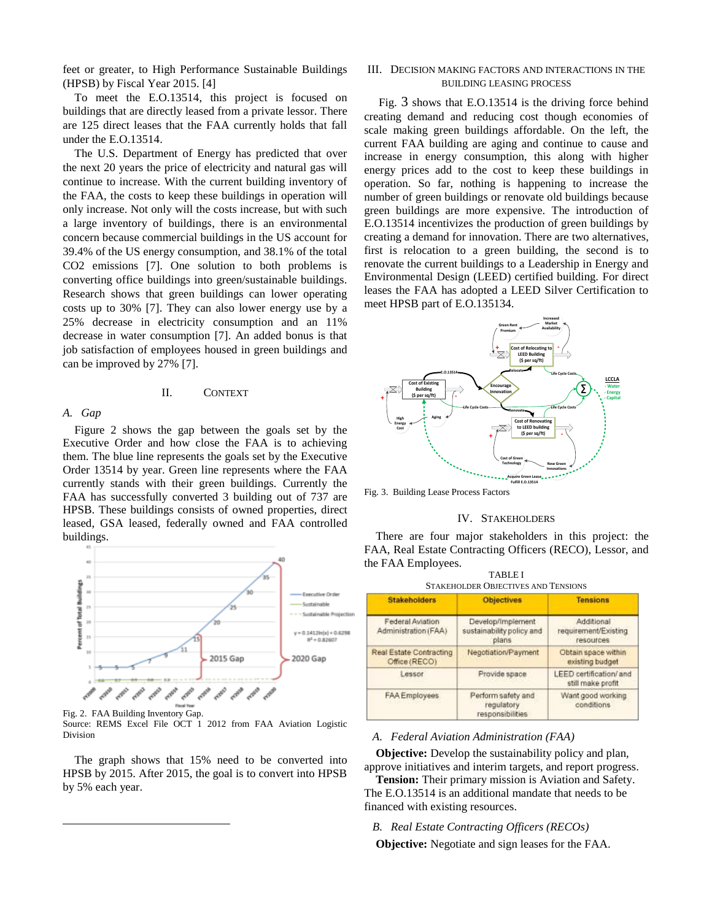feet or greater, to High Performance Sustainable Buildings (HPSB) by Fiscal Year 2015. [4]

To meet the E.O.13514, this project is focused on buildings that are directly leased from a private lessor. There are 125 direct leases that the FAA currently holds that fall under the E.O.13514.

The U.S. Department of Energy has predicted that over the next 20 years the price of electricity and natural gas will continue to increase. With the current building inventory of the FAA, the costs to keep these buildings in operation will only increase. Not only will the costs increase, but with such a large inventory of buildings, there is an environmental concern because commercial buildings in the US account for 39.4% of the US energy consumption, and 38.1% of the total CO2 emissions [7]. One solution to both problems is converting office buildings into green/sustainable buildings. Research shows that green buildings can lower operating costs up to 30% [7]. They can also lower energy use by a 25% decrease in electricity consumption and an 11% decrease in water consumption [7]. An added bonus is that job satisfaction of employees housed in green buildings and can be improved by 27% [7].

#### II. CONTEXT

### *A. Gap*

Figure 2 shows the gap between the goals set by the Executive Order and how close the FAA is to achieving them. The blue line represents the goals set by the Executive Order 13514 by year. Green line represents where the FAA currently stands with their green buildings. Currently the FAA has successfully converted 3 building out of 737 are HPSB. These buildings consists of owned properties, direct leased, GSA leased, federally owned and FAA controlled buildings.



Fig. 2. FAA Building Inventory Gap.

 $\overline{a}$ 

Source: REMS Excel File OCT 1 2012 from FAA Aviation Logistic Division

The graph shows that 15% need to be converted into HPSB by 2015. After 2015, the goal is to convert into HPSB by 5% each year.

# III. DECISION MAKING FACTORS AND INTERACTIONS IN THE BUILDING LEASING PROCESS

[Fig.](#page-1-0) 3 shows that E.O.13514 is the driving force behind creating demand and reducing cost though economies of scale making green buildings affordable. On the left, the current FAA building are aging and continue to cause and increase in energy consumption, this along with higher energy prices add to the cost to keep these buildings in operation. So far, nothing is happening to increase the number of green buildings or renovate old buildings because green buildings are more expensive. The introduction of E.O.13514 incentivizes the production of green buildings by creating a demand for innovation. There are two alternatives, first is relocation to a green building, the second is to renovate the current buildings to a Leadership in Energy and Environmental Design (LEED) certified building. For direct leases the FAA has adopted a LEED Silver Certification to meet HPSB part of E.O.135134.

<span id="page-1-0"></span>



### IV. STAKEHOLDERS

There are four major stakeholders in this project: the FAA, Real Estate Contracting Officers (RECO), Lessor, and the FAA Employees.

TABLE I

| <b>Stakeholders</b>                      | <b>Objectives</b>                                       | <b>Tensions</b>                                 |  |
|------------------------------------------|---------------------------------------------------------|-------------------------------------------------|--|
| Federal Aviation<br>Administration (FAA) | Develop/Impiement<br>sustainability policy and<br>plans | Additional<br>requirement/Existing<br>resources |  |
| Real Estate Contracting<br>Office (RECO) | Negotiation/Payment                                     | Obtain space within<br>existing budget          |  |
| Lessor                                   | Provide space                                           | LEED certification/ and<br>still make profit    |  |
| FAA Employees                            | Perform safety and<br>regulatory<br>responsibilities    | Want good working<br>conditions                 |  |

### *A. Federal Aviation Administration (FAA)*

**Objective:** Develop the sustainability policy and plan, approve initiatives and interim targets, and report progress.

**Tension:** Their primary mission is Aviation and Safety. The E.O.13514 is an additional mandate that needs to be financed with existing resources.

*B. Real Estate Contracting Officers (RECOs)*

**Objective:** Negotiate and sign leases for the FAA.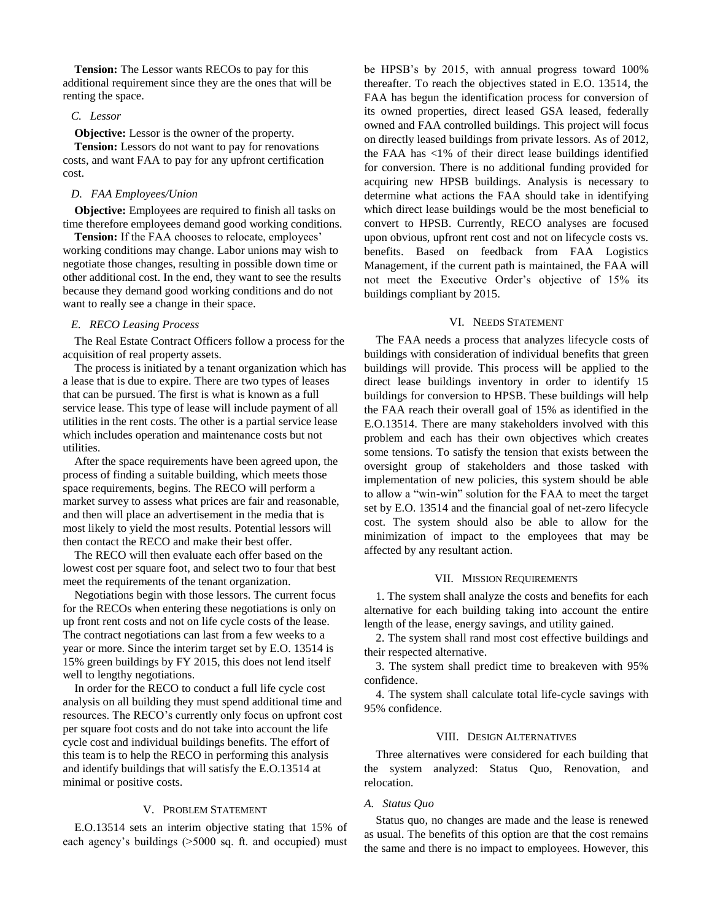**Tension:** The Lessor wants RECOs to pay for this additional requirement since they are the ones that will be renting the space.

# *C. Lessor*

**Objective:** Lessor is the owner of the property.

**Tension:** Lessors do not want to pay for renovations costs, and want FAA to pay for any upfront certification cost.

### *D. FAA Employees/Union*

**Objective:** Employees are required to finish all tasks on time therefore employees demand good working conditions.

**Tension:** If the FAA chooses to relocate, employees' working conditions may change. Labor unions may wish to negotiate those changes, resulting in possible down time or other additional cost. In the end, they want to see the results because they demand good working conditions and do not want to really see a change in their space.

# *E. RECO Leasing Process*

The Real Estate Contract Officers follow a process for the acquisition of real property assets.

The process is initiated by a tenant organization which has a lease that is due to expire. There are two types of leases that can be pursued. The first is what is known as a full service lease. This type of lease will include payment of all utilities in the rent costs. The other is a partial service lease which includes operation and maintenance costs but not utilities.

After the space requirements have been agreed upon, the process of finding a suitable building, which meets those space requirements, begins. The RECO will perform a market survey to assess what prices are fair and reasonable, and then will place an advertisement in the media that is most likely to yield the most results. Potential lessors will then contact the RECO and make their best offer.

The RECO will then evaluate each offer based on the lowest cost per square foot, and select two to four that best meet the requirements of the tenant organization.

Negotiations begin with those lessors. The current focus for the RECOs when entering these negotiations is only on up front rent costs and not on life cycle costs of the lease. The contract negotiations can last from a few weeks to a year or more. Since the interim target set by E.O. 13514 is 15% green buildings by FY 2015, this does not lend itself well to lengthy negotiations.

In order for the RECO to conduct a full life cycle cost analysis on all building they must spend additional time and resources. The RECO's currently only focus on upfront cost per square foot costs and do not take into account the life cycle cost and individual buildings benefits. The effort of this team is to help the RECO in performing this analysis and identify buildings that will satisfy the E.O.13514 at minimal or positive costs.

# V. PROBLEM STATEMENT

E.O.13514 sets an interim objective stating that 15% of each agency's buildings (>5000 sq. ft. and occupied) must be HPSB's by 2015, with annual progress toward 100% thereafter. To reach the objectives stated in E.O. 13514, the FAA has begun the identification process for conversion of its owned properties, direct leased GSA leased, federally owned and FAA controlled buildings. This project will focus on directly leased buildings from private lessors. As of 2012, the FAA has <1% of their direct lease buildings identified for conversion. There is no additional funding provided for acquiring new HPSB buildings. Analysis is necessary to determine what actions the FAA should take in identifying which direct lease buildings would be the most beneficial to convert to HPSB. Currently, RECO analyses are focused upon obvious, upfront rent cost and not on lifecycle costs vs. benefits. Based on feedback from FAA Logistics Management, if the current path is maintained, the FAA will not meet the Executive Order's objective of 15% its buildings compliant by 2015.

### VI. NEEDS STATEMENT

The FAA needs a process that analyzes lifecycle costs of buildings with consideration of individual benefits that green buildings will provide. This process will be applied to the direct lease buildings inventory in order to identify 15 buildings for conversion to HPSB. These buildings will help the FAA reach their overall goal of 15% as identified in the E.O.13514. There are many stakeholders involved with this problem and each has their own objectives which creates some tensions. To satisfy the tension that exists between the oversight group of stakeholders and those tasked with implementation of new policies, this system should be able to allow a "win-win" solution for the FAA to meet the target set by E.O. 13514 and the financial goal of net-zero lifecycle cost. The system should also be able to allow for the minimization of impact to the employees that may be affected by any resultant action.

### VII. MISSION REQUIREMENTS

1. The system shall analyze the costs and benefits for each alternative for each building taking into account the entire length of the lease, energy savings, and utility gained.

2. The system shall rand most cost effective buildings and their respected alternative.

3. The system shall predict time to breakeven with 95% confidence.

4. The system shall calculate total life-cycle savings with 95% confidence.

### VIII. DESIGN ALTERNATIVES

Three alternatives were considered for each building that the system analyzed: Status Quo, Renovation, and relocation.

### *A. Status Quo*

Status quo, no changes are made and the lease is renewed as usual. The benefits of this option are that the cost remains the same and there is no impact to employees. However, this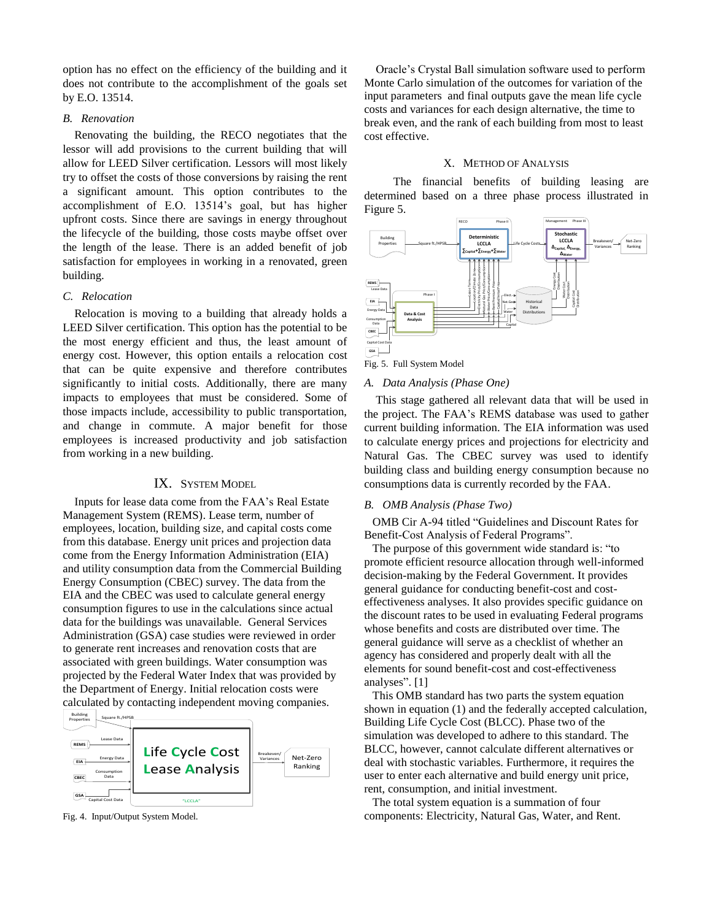option has no effect on the efficiency of the building and it does not contribute to the accomplishment of the goals set by E.O. 13514.

### *B. Renovation*

Renovating the building, the RECO negotiates that the lessor will add provisions to the current building that will allow for LEED Silver certification. Lessors will most likely try to offset the costs of those conversions by raising the rent a significant amount. This option contributes to the accomplishment of E.O. 13514's goal, but has higher upfront costs. Since there are savings in energy throughout the lifecycle of the building, those costs maybe offset over the length of the lease. There is an added benefit of job satisfaction for employees in working in a renovated, green building.

### *C. Relocation*

Relocation is moving to a building that already holds a LEED Silver certification. This option has the potential to be the most energy efficient and thus, the least amount of energy cost. However, this option entails a relocation cost that can be quite expensive and therefore contributes significantly to initial costs. Additionally, there are many impacts to employees that must be considered. Some of those impacts include, accessibility to public transportation, and change in commute. A major benefit for those employees is increased productivity and job satisfaction from working in a new building.

# IX. SYSTEM MODEL

Inputs for lease data come from the FAA's Real Estate Management System (REMS). Lease term, number of employees, location, building size, and capital costs come from this database. Energy unit prices and projection data come from the Energy Information Administration (EIA) and utility consumption data from the Commercial Building Energy Consumption (CBEC) survey. The data from the EIA and the CBEC was used to calculate general energy consumption figures to use in the calculations since actual data for the buildings was unavailable. General Services Administration (GSA) case studies were reviewed in order to generate rent increases and renovation costs that are associated with green buildings. Water consumption was projected by the Federal Water Index that was provided by the Department of Energy. Initial relocation costs were calculated by contacting independent moving companies.



Fig. 4. Input/Output System Model.

Oracle's Crystal Ball simulation software used to perform Monte Carlo simulation of the outcomes for variation of the input parameters and final outputs gave the mean life cycle costs and variances for each design alternative, the time to break even, and the rank of each building from most to least cost effective.

### X. METHOD OF ANALYSIS

 The financial benefits of building leasing are determined based on a three phase process illustrated in Figure 5.



# *A. Data Analysis (Phase One)*

This stage gathered all relevant data that will be used in the project. The FAA's REMS database was used to gather current building information. The EIA information was used to calculate energy prices and projections for electricity and Natural Gas. The CBEC survey was used to identify building class and building energy consumption because no consumptions data is currently recorded by the FAA.

### *B. OMB Analysis (Phase Two)*

OMB Cir A-94 titled "Guidelines and Discount Rates for Benefit-Cost Analysis of Federal Programs".

The purpose of this government wide standard is: "to promote efficient resource allocation through well-informed decision-making by the Federal Government. It provides general guidance for conducting benefit-cost and costeffectiveness analyses. It also provides specific guidance on the discount rates to be used in evaluating Federal programs whose benefits and costs are distributed over time. The general guidance will serve as a checklist of whether an agency has considered and properly dealt with all the elements for sound benefit-cost and cost-effectiveness analyses". [1]

This OMB standard has two parts the system equation shown in equation (1) and the federally accepted calculation, Building Life Cycle Cost (BLCC). Phase two of the simulation was developed to adhere to this standard. The BLCC, however, cannot calculate different alternatives or deal with stochastic variables. Furthermore, it requires the user to enter each alternative and build energy unit price, rent, consumption, and initial investment.

The total system equation is a summation of four components: Electricity, Natural Gas, Water, and Rent.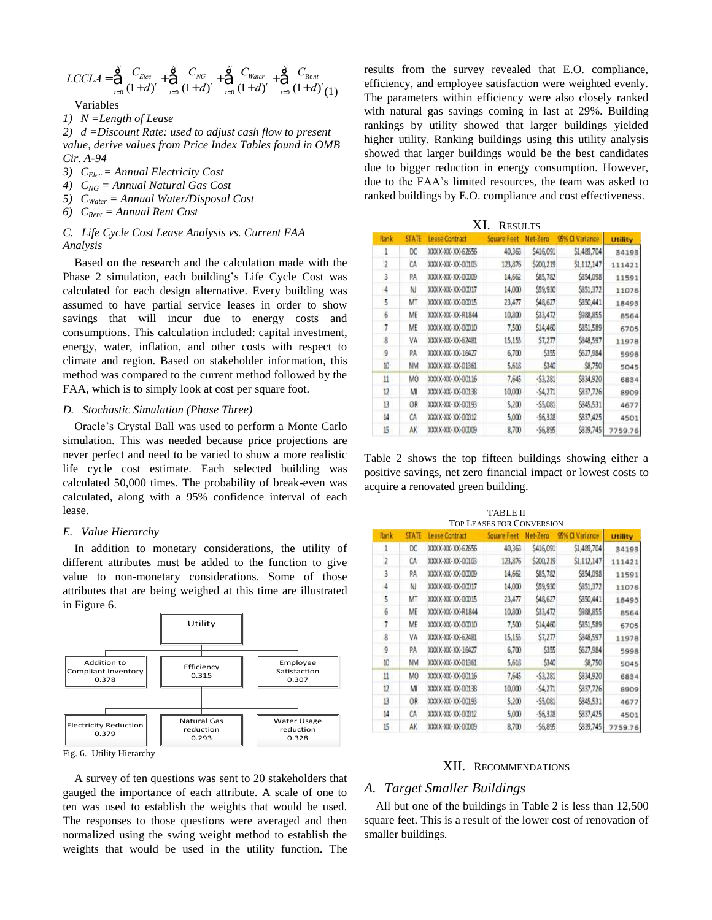$$
LCCLA = \bigoplus_{t=0}^{N} \frac{C_{Elec}}{(1+d)^{t}} + \bigoplus_{t=0}^{N} \frac{C_{NG}}{(1+d)^{t}} + \bigoplus_{t=0}^{N} \frac{C_{Water}}{(1+d)^{t}} + \bigoplus_{t=0}^{N} \frac{C_{Ren}}{(1+d)^{t}} \frac{C_{Rem}}{(1+d)^{t}} \bigoplus_{t=0}^{N} \frac{C_{R}}{(1+d)^{t}} + \bigoplus_{t=0}^{N} \frac{C_{R}}{(1+d)^{t}} \frac{C_{R}}{(1+d)^{t}} \bigoplus_{t=0}^{N} \frac{C_{R}}{(1+d)^{t}} + \bigoplus_{t=0}^{N} \frac{C_{R}}{(1+d)^{t}} \frac{C_{R}}{(1+d)^{t}} \bigoplus_{t=0}^{N} \frac{C_{R}}{(1+d)^{t}} \frac{C_{R}}{(1+d)^{t}} \bigoplus_{t=0}^{N} \frac{C_{R}}{(1+d)^{t}} \frac{C_{R}}{(1+d)^{t}} \frac{C_{R}}{(1+d)^{t}} \frac{C_{R}}{(1+d)^{t}} \frac{C_{R}}{(1+d)^{t}} \frac{C_{R}}{(1+d)^{t}} \frac{C_{R}}{(1+d)^{t}} \frac{C_{R}}{(1+d)^{t}} \frac{C_{R}}{(1+d)^{t}} \frac{C_{R}}{(1+d)^{t}} \frac{C_{R}}{(1+d)^{t}} \frac{C_{R}}{(1+d)^{t}} \frac{C_{R}}{(1+d)^{t}} \frac{C_{R}}{(1+d)^{t}} \frac{C_{R}}{(1+d)^{t}} \frac{C_{R}}{(1+d)^{t}} \frac{C_{R}}{(1+d)^{t}} \frac{C_{R}}{(1+d)^{t}} \frac{C_{R}}{(1+d)^{t}} \frac{C_{R}}{(1+d)^{t}} \frac{C_{R}}{(1+d)^{t}} \frac{C_{R}}{(1+d)^{t}} \frac{C_{R}}{(1+d)^{t}} \frac{C_{R}}{(1+d)^{t}} \frac{C_{R}}{(1+d)^{t}} \frac{C_{R}}{(1+d)^{t}} \frac{C_{R}}{(1+d)^{t}} \frac{C_{R}}{(1+d)^{t}} \frac{C_{R}}{(1+d)^{t}} \frac{C_{R}}{(1+d)^{t}} \frac{C_{R}}{(1+d)^{t}} \frac{C_{R}}{(1+d)^
$$

Variables

*1) N =Length of Lease*

*2) d =Discount Rate: used to adjust cash flow to present value, derive values from Price Index Tables found in OMB Cir. A-94*

- *3) CElec = Annual Electricity Cost*
- *4) CNG = Annual Natural Gas Cost*
- *5) CWater = Annual Water/Disposal Cost*
- *6) CRent = Annual Rent Cost*

# *C. Life Cycle Cost Lease Analysis vs. Current FAA Analysis*

Based on the research and the calculation made with the Phase 2 simulation, each building's Life Cycle Cost was calculated for each design alternative. Every building was assumed to have partial service leases in order to show savings that will incur due to energy costs and consumptions. This calculation included: capital investment, energy, water, inflation, and other costs with respect to climate and region. Based on stakeholder information, this method was compared to the current method followed by the FAA, which is to simply look at cost per square foot.

### *D. Stochastic Simulation (Phase Three)*

Oracle's Crystal Ball was used to perform a Monte Carlo simulation. This was needed because price projections are never perfect and need to be varied to show a more realistic life cycle cost estimate. Each selected building was calculated 50,000 times. The probability of break-even was calculated, along with a 95% confidence interval of each lease.

### *E. Value Hierarchy*

In addition to monetary considerations, the utility of different attributes must be added to the function to give value to non-monetary considerations. Some of those attributes that are being weighed at this time are illustrated in Figure 6.



Fig. 6. Utility Hierarchy

A survey of ten questions was sent to 20 stakeholders that gauged the importance of each attribute. A scale of one to ten was used to establish the weights that would be used. The responses to those questions were averaged and then normalized using the swing weight method to establish the weights that would be used in the utility function. The results from the survey revealed that E.O. compliance, efficiency, and employee satisfaction were weighted evenly. The parameters within efficiency were also closely ranked with natural gas savings coming in last at 29%. Building rankings by utility showed that larger buildings yielded higher utility. Ranking buildings using this utility analysis showed that larger buildings would be the best candidates due to bigger reduction in energy consumption. However, due to the FAA's limited resources, the team was asked to ranked buildings by E.O. compliance and cost effectiveness.

| Rank           | <b>STATE</b> | <b>Lease Contract</b> | Square Feet | Net-Zero  | 95% Cl Variance | <b>Utility</b> |
|----------------|--------------|-----------------------|-------------|-----------|-----------------|----------------|
| 1              | DC:          | XXXX-XX-XX-62656      | 40,363      | 5416,091  | \$1,489,704     | 34193          |
| $\overline{2}$ | СA           | XXXX-XX-XX-00103      | 123,876     | \$200,219 | \$1,112,147     | 111421         |
| 3              | PA           | XXXX-XX-XX-00009      | 14,662      | \$85,782  | \$854,098       | 11591          |
| 4              | NI           | XXXX-XX-XX-00017      | 14,000      | \$59,930  | \$851,372       | 11076          |
| 5              | МТ           | XXXX-XX-XX-00015      | 23,477      | \$48,627  | \$850,441       | 18493          |
| 6              | ME           | XXXX-XX-XX-R1844      | 10,800      | \$33,472  | \$988,855       | 8564           |
| 7              | ME           | XXXX-XX-XX-00010      | 7,500       | \$14,460  | 5851,589        | 6705           |
| $\overline{8}$ | ٧A           | XXXX-XX-XX-62481      | 15,155      | \$7,277   | \$848,597       | 11978          |
| 9              | PA           | XXXX-XX-XX-16427      | 6,700       | \$355     | \$627,984       | 5998           |
| 10             | NM           | XXXX-XX-XX-01361      | 5,618       | \$340     | \$8,750         | 5045           |
| $_{11}$        | MO.          | XXXX-XX-XX-00116      | 7,645       | $-53,281$ | \$834,920       | 6834           |
| 12             | MI           | XXXX-XX-XX-00138      | 10,000      | $-54.271$ | \$837,726       | 8909           |
| 13             | OR           | XXXX-XX-XX-00193      | 5,200       | $-55,081$ | \$845,531       | 4677           |
| 14             | CA           | XXXX-XX-XX-00012      | 5,000       | $-56,328$ | \$837,425       | 4501           |
| 15             | AK           | 8000-XX-XX-XXX        | 8,700       | $-56.895$ | \$839,745       | 7759.76        |

Table 2 shows the top fifteen buildings showing either a positive savings, net zero financial impact or lowest costs to acquire a renovated green building.

<span id="page-4-0"></span>

| Rank           | <b>STATE</b> | <b>TOP LEASES FOR CONVERSION</b><br><b>Lease Contract</b> | Square Feet | Net-Zero  | 95% Cl Variance | <b>Utility</b> |
|----------------|--------------|-----------------------------------------------------------|-------------|-----------|-----------------|----------------|
| 1              | DC           | XXXX-XX-XX-62656                                          | 40,363      | 5416,091  | \$1,489,704     | 34193          |
| $\overline{2}$ | СA           | XXXX-XX-XX-00103                                          | 123,876     | \$200,219 | \$1,112,147     | 111421         |
| 3              | PA           | XXXX-XX-XX-00009                                          | 14,662      | \$85,782  | \$854,098       | 11591          |
| 4              | NJ           | XXXX-XX-XX-00017                                          | 14,000      | \$59,930  | \$851,372       | 11076          |
| 5              | МT           | XXXX-XX-XX-00015                                          | 23,477      | \$48,627  | \$850,441       | 18493          |
| 6              | ME           | XXXX-XX-XX-R1844                                          | 10,800      | \$33,472  | \$988,855       | 8564           |
| 7              | ME.          | XXXX-XX-XX-00010                                          | 7,500       | \$14,460  | 5851,589        | 6705           |
| 8              | ٧A           | XXXX-XX-XX-62481                                          | 15,155      | \$7,277   | \$848,597       | 11978          |
| 9              | PA:          | XXXX-XX-XX-16427                                          | 6,700       | \$355     | \$627,984       | 5998           |
| 10             | NM           | XXXX-XX-XX-01361                                          | 5,618       | \$340     | \$8,750         | 5045           |
| $_{11}$        | MO.          | XXXX-XX-XX-00116                                          | 7,645       | $-53,281$ | \$834,920       | 6834           |
| 12             | MI           | XXXX-XX-XX-00138                                          | 10,000      | $-54.271$ | \$837,726       | 8909           |
| 13             | OR           | XXXX-XX-XX-00193                                          | 5,200       | $-55,081$ | \$845,531       | 4677           |
| 14             | CA           | XXXX-XX-XX-00012                                          | 5,000       | $-56,328$ | \$837,425       | 4501           |
| 15             | AK           | 8000-XX-XX-XXX                                            | 8,700       | $-56.895$ | \$839,745       | 7759.76        |

### XII. RECOMMENDATIONS

# *A. Target Smaller Buildings*

All but one of the buildings in Table 2 is less than 12,500 square feet. This is a result of the lower cost of renovation of smaller buildings.